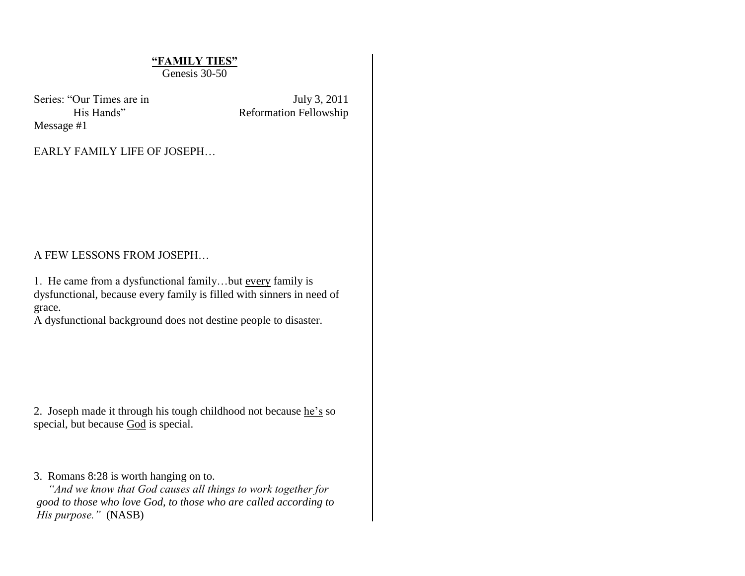# **"FAMILY TIES"**

Genesis 30-50

Series: "Our Times are in July 3, 2011 Message #1

His Hands" Reformation Fellowship

EARLY FAMILY LIFE OF JOSEPH…

### A FEW LESSONS FROM JOSEPH…

1. He came from a dysfunctional family…but every family is dysfunctional, because every family is filled with sinners in need of grace.

A dysfunctional background does not destine people to disaster.

2. Joseph made it through his tough childhood not because he's so special, but because God is special.

3. Romans 8:28 is worth hanging on to.

 *"And we know that God causes all things to work together for good to those who love God, to those who are called according to His purpose."* (NASB)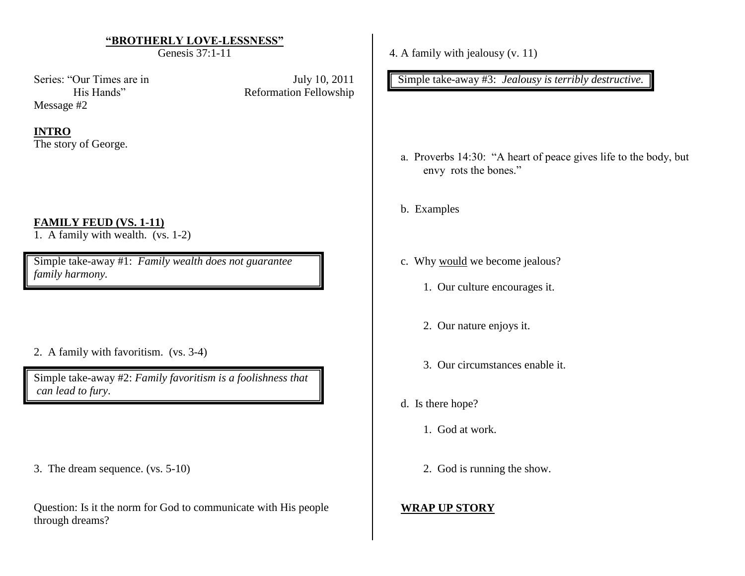### **"BROTHERLY LOVE-LESSNESS"**

Genesis 37:1-11

Series: "Our Times are in July 10, 2011 Message #2

His Hands" Reformation Fellowship

### **INTRO**

The story of George.

## **FAMILY FEUD (VS. 1-11)**

1. A family with wealth.  $(vs. 1-2)$ 

Simple take-away #1: *Family wealth does not guarantee family harmony.*

2. A family with favoritism. (vs. 3-4)

Simple take-away #2: *Family favoritism is a foolishness that can lead to fury*.

3. The dream sequence. (vs. 5-10)

Question: Is it the norm for God to communicate with His people through dreams?

4. A family with jealousy (v. 11)

Simple take-away #3: *Jealousy is terribly destructive.*

- a. Proverbs 14:30: "A heart of peace gives life to the body, but envy rots the bones."
- b. Examples
- c. Why would we become jealous?
	- 1. Our culture encourages it.
	- 2. Our nature enjoys it.
	- 3. Our circumstances enable it.
- d. Is there hope?
	- 1. God at work.
	- 2. God is running the show.

## **WRAP UP STORY**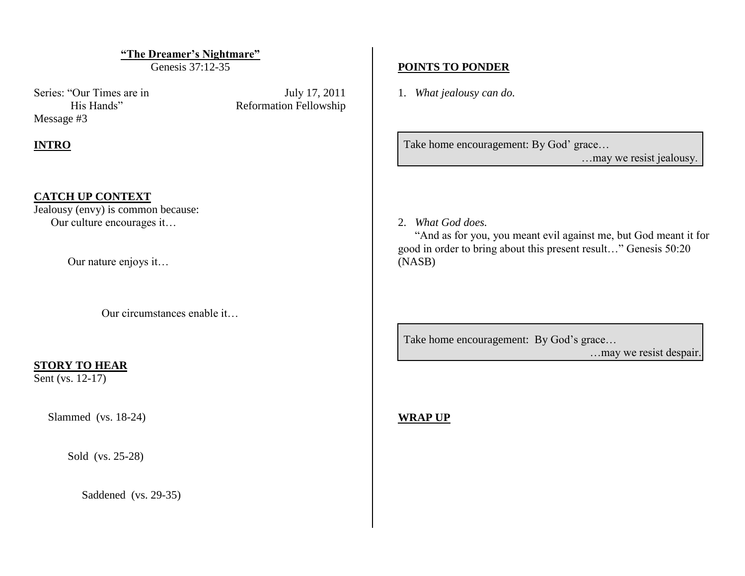**"The Dreamer's Nightmare"**

Genesis 37:12-35

Series: "Our Times are in July 17, 2011 Message #3

His Hands" Reformation Fellowship

## **INTRO**

### **CATCH UP CONTEXT**

Jealousy (envy) is common because: Our culture encourages it…

Our nature enjoys it…

Our circumstances enable it…

#### **STORY TO HEAR**

Sent (vs. 12-17)

Slammed (vs. 18-24)

Sold (vs. 25-28)

Saddened (vs. 29-35)

### **POINTS TO PONDER**

1. *What jealousy can do.*

Take home encouragement: By God' grace...

…may we resist jealousy.

#### 2. *What God does.*

 "And as for you, you meant evil against me, but God meant it for good in order to bring about this present result…" Genesis 50:20 (NASB)

Take home encouragement: By God's grace...

…may we resist despair.

**WRAP UP**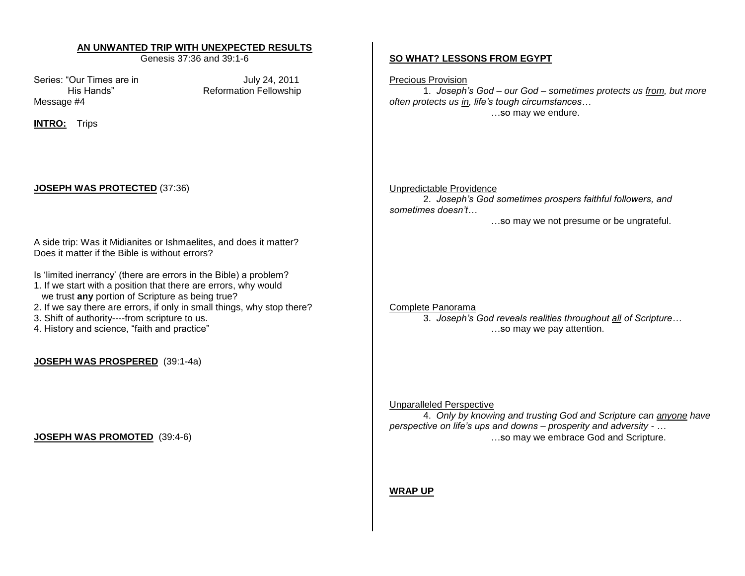#### **AN UNWANTED TRIP WITH UNEXPECTED RESULTS**

Genesis 37:36 and 39:1-6

Series: "Our Times are in July 24, 2011 Message #4

His Hands" Reformation Fellowship

**INTRO:** Trips

#### **JOSEPH WAS PROTECTED** (37:36)

A side trip: Was it Midianites or Ishmaelites, and does it matter? Does it matter if the Bible is without errors?

- Is "limited inerrancy" (there are errors in the Bible) a problem?
- 1. If we start with a position that there are errors, why would
- we trust **any** portion of Scripture as being true?
- 2. If we say there are errors, if only in small things, why stop there?
- 3. Shift of authority----from scripture to us.
- 4. History and science, "faith and practice"

**JOSEPH WAS PROSPERED** (39:1-4a)

#### **JOSEPH WAS PROMOTED** (39:4-6)

#### **SO WHAT? LESSONS FROM EGYPT**

Precious Provision

1. *Joseph's God – our God – sometimes protects us from, but more often protects us in, life's tough circumstances…* …so may we endure.

#### Unpredictable Providence

2. *Joseph's God sometimes prospers faithful followers, and sometimes doesn't…*

…so may we not presume or be ungrateful.

#### Complete Panorama

3. *Joseph's God reveals realities throughout all of Scripture…* …so may we pay attention.

#### Unparalleled Perspective

4. *Only by knowing and trusting God and Scripture can anyone have perspective on life's ups and downs – prosperity and adversity - …* …so may we embrace God and Scripture.

#### **WRAP UP**